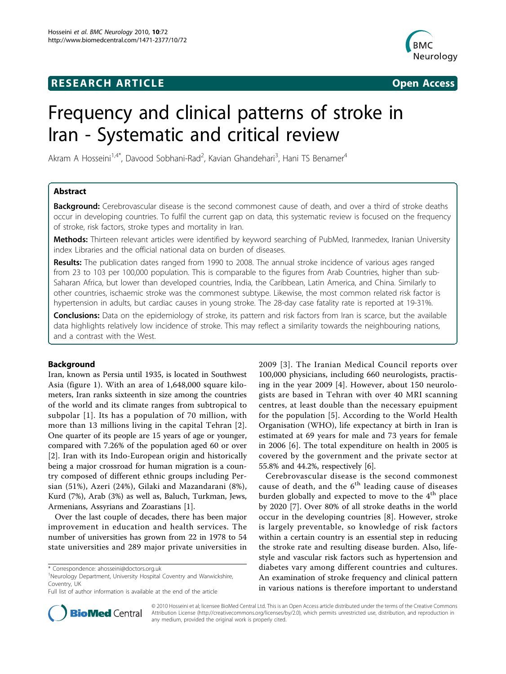## **RESEARCH ARTICLE Example 2018 12:30 THE Open Access**



# Frequency and clinical patterns of stroke in Iran - Systematic and critical review

Akram A Hosseini<sup>1,4\*</sup>, Davood Sobhani-Rad<sup>2</sup>, Kavian Ghandehari<sup>3</sup>, Hani TS Benamer<sup>4</sup>

## Abstract

**Background:** Cerebrovascular disease is the second commonest cause of death, and over a third of stroke deaths occur in developing countries. To fulfil the current gap on data, this systematic review is focused on the frequency of stroke, risk factors, stroke types and mortality in Iran.

Methods: Thirteen relevant articles were identified by keyword searching of PubMed, Iranmedex, Iranian University index Libraries and the official national data on burden of diseases.

Results: The publication dates ranged from 1990 to 2008. The annual stroke incidence of various ages ranged from 23 to 103 per 100,000 population. This is comparable to the figures from Arab Countries, higher than sub-Saharan Africa, but lower than developed countries, India, the Caribbean, Latin America, and China. Similarly to other countries, ischaemic stroke was the commonest subtype. Likewise, the most common related risk factor is hypertension in adults, but cardiac causes in young stroke. The 28-day case fatality rate is reported at 19-31%.

Conclusions: Data on the epidemiology of stroke, its pattern and risk factors from Iran is scarce, but the available data highlights relatively low incidence of stroke. This may reflect a similarity towards the neighbouring nations, and a contrast with the West.

## Background

Iran, known as Persia until 1935, is located in Southwest Asia (figure [1](#page-1-0)). With an area of 1,648,000 square kilometers, Iran ranks sixteenth in size among the countries of the world and its climate ranges from subtropical to subpolar [\[1\]](#page-8-0). Its has a population of 70 million, with more than 13 millions living in the capital Tehran [[2](#page-8-0)]. One quarter of its people are 15 years of age or younger, compared with 7.26% of the population aged 60 or over [[2](#page-8-0)]. Iran with its Indo-European origin and historically being a major crossroad for human migration is a country composed of different ethnic groups including Persian (51%), Azeri (24%), Gilaki and Mazandarani (8%), Kurd (7%), Arab (3%) as well as, Baluch, Turkman, Jews, Armenians, Assyrians and Zoarastians [[1\]](#page-8-0).

Over the last couple of decades, there has been major improvement in education and health services. The number of universities has grown from 22 in 1978 to 54 state universities and 289 major private universities in



Cerebrovascular disease is the second commonest cause of death, and the  $6<sup>th</sup>$  leading cause of diseases burden globally and expected to move to the  $4<sup>th</sup>$  place by 2020 [\[7](#page-8-0)]. Over 80% of all stroke deaths in the world occur in the developing countries [\[8](#page-8-0)]. However, stroke is largely preventable, so knowledge of risk factors within a certain country is an essential step in reducing the stroke rate and resulting disease burden. Also, lifestyle and vascular risk factors such as hypertension and diabetes vary among different countries and cultures. An examination of stroke frequency and clinical pattern in various nations is therefore important to understand



© 2010 Hosseini et al; licensee BioMed Central Ltd. This is an Open Access article distributed under the terms of the Creative Commons Attribution License [\(http://creativecommons.org/licenses/by/2.0](http://creativecommons.org/licenses/by/2.0)), which permits unrestricted use, distribution, and reproduction in any medium, provided the original work is properly cited.

<sup>\*</sup> Correspondence: [ahosseini@doctors.org.uk](mailto:ahosseini@doctors.org.uk)

<sup>&</sup>lt;sup>1</sup>Neurology Department, University Hospital Coventry and Warwickshire, Coventry, UK

Full list of author information is available at the end of the article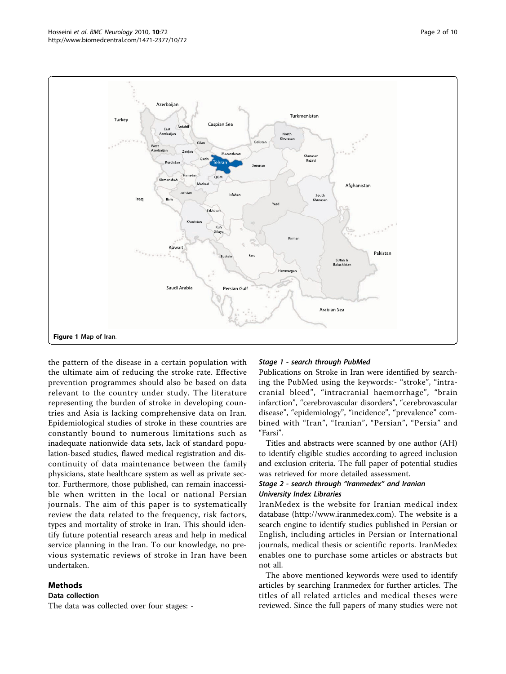<span id="page-1-0"></span>

the pattern of the disease in a certain population with the ultimate aim of reducing the stroke rate. Effective prevention programmes should also be based on data relevant to the country under study. The literature representing the burden of stroke in developing countries and Asia is lacking comprehensive data on Iran. Epidemiological studies of stroke in these countries are constantly bound to numerous limitations such as inadequate nationwide data sets, lack of standard population-based studies, flawed medical registration and discontinuity of data maintenance between the family physicians, state healthcare system as well as private sector. Furthermore, those published, can remain inaccessible when written in the local or national Persian journals. The aim of this paper is to systematically review the data related to the frequency, risk factors, types and mortality of stroke in Iran. This should identify future potential research areas and help in medical service planning in the Iran. To our knowledge, no previous systematic reviews of stroke in Iran have been undertaken.

## **Methods**

#### Data collection

The data was collected over four stages: -

#### Stage 1 - search through PubMed

Publications on Stroke in Iran were identified by searching the PubMed using the keywords:- "stroke", "intracranial bleed", "intracranial haemorrhage", "brain infarction", "cerebrovascular disorders", "cerebrovascular disease", "epidemiology", "incidence", "prevalence" combined with "Iran", "Iranian", "Persian", "Persia" and "Farsi".

Titles and abstracts were scanned by one author (AH) to identify eligible studies according to agreed inclusion and exclusion criteria. The full paper of potential studies was retrieved for more detailed assessment.

## Stage 2 - search through "Iranmedex" and Iranian University Index Libraries

IranMedex is the website for Iranian medical index database ([http://www.iranmedex.com\)](http://www.iranmedex.com). The website is a search engine to identify studies published in Persian or English, including articles in Persian or International journals, medical thesis or scientific reports. IranMedex enables one to purchase some articles or abstracts but not all.

The above mentioned keywords were used to identify articles by searching Iranmedex for further articles. The titles of all related articles and medical theses were reviewed. Since the full papers of many studies were not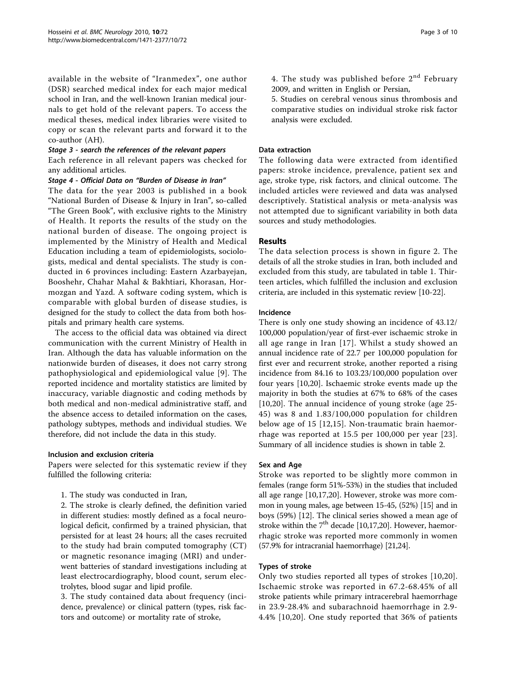available in the website of "Iranmedex", one author (DSR) searched medical index for each major medical school in Iran, and the well-known Iranian medical journals to get hold of the relevant papers. To access the medical theses, medical index libraries were visited to copy or scan the relevant parts and forward it to the co-author (AH).

#### Stage 3 - search the references of the relevant papers

Each reference in all relevant papers was checked for any additional articles.

#### Stage 4 - Official Data on "Burden of Disease in Iran"

The data for the year 2003 is published in a book "National Burden of Disease & Injury in Iran", so-called "The Green Book", with exclusive rights to the Ministry of Health. It reports the results of the study on the national burden of disease. The ongoing project is implemented by the Ministry of Health and Medical Education including a team of epidemiologists, sociologists, medical and dental specialists. The study is conducted in 6 provinces including: Eastern Azarbayejan, Booshehr, Chahar Mahal & Bakhtiari, Khorasan, Hormozgan and Yazd. A software coding system, which is comparable with global burden of disease studies, is designed for the study to collect the data from both hospitals and primary health care systems.

The access to the official data was obtained via direct communication with the current Ministry of Health in Iran. Although the data has valuable information on the nationwide burden of diseases, it does not carry strong pathophysiological and epidemiological value [\[9\]](#page-8-0). The reported incidence and mortality statistics are limited by inaccuracy, variable diagnostic and coding methods by both medical and non-medical administrative staff, and the absence access to detailed information on the cases, pathology subtypes, methods and individual studies. We therefore, did not include the data in this study.

## Inclusion and exclusion criteria

Papers were selected for this systematic review if they fulfilled the following criteria:

1. The study was conducted in Iran,

2. The stroke is clearly defined, the definition varied in different studies: mostly defined as a focal neurological deficit, confirmed by a trained physician, that persisted for at least 24 hours; all the cases recruited to the study had brain computed tomography (CT) or magnetic resonance imaging (MRI) and underwent batteries of standard investigations including at least electrocardiography, blood count, serum electrolytes, blood sugar and lipid profile.

3. The study contained data about frequency (incidence, prevalence) or clinical pattern (types, risk factors and outcome) or mortality rate of stroke,

4. The study was published before  $2<sup>nd</sup>$  February 2009, and written in English or Persian,

5. Studies on cerebral venous sinus thrombosis and comparative studies on individual stroke risk factor analysis were excluded.

#### Data extraction

The following data were extracted from identified papers: stroke incidence, prevalence, patient sex and age, stroke type, risk factors, and clinical outcome. The included articles were reviewed and data was analysed descriptively. Statistical analysis or meta-analysis was not attempted due to significant variability in both data sources and study methodologies.

#### Results

The data selection process is shown in figure [2.](#page-3-0) The details of all the stroke studies in Iran, both included and excluded from this study, are tabulated in table [1](#page-4-0). Thirteen articles, which fulfilled the inclusion and exclusion criteria, are included in this systematic review [\[10-22](#page-8-0)].

#### Incidence

There is only one study showing an incidence of 43.12/ 100,000 population/year of first-ever ischaemic stroke in all age range in Iran [[17](#page-8-0)]. Whilst a study showed an annual incidence rate of 22.7 per 100,000 population for first ever and recurrent stroke, another reported a rising incidence from 84.16 to 103.23/100,000 population over four years [[10,20\]](#page-8-0). Ischaemic stroke events made up the majority in both the studies at 67% to 68% of the cases [[10,20](#page-8-0)]. The annual incidence of young stroke (age 25- 45) was 8 and 1.83/100,000 population for children below age of 15 [\[12](#page-8-0),[15\]](#page-8-0). Non-traumatic brain haemorrhage was reported at 15.5 per 100,000 per year [[23\]](#page-8-0). Summary of all incidence studies is shown in table [2.](#page-5-0)

#### Sex and Age

Stroke was reported to be slightly more common in females (range form 51%-53%) in the studies that included all age range [[10](#page-8-0),[17,20\]](#page-8-0). However, stroke was more common in young males, age between 15-45, (52%) [\[15\]](#page-8-0) and in boys (59%) [[12\]](#page-8-0). The clinical series showed a mean age of stroke within the  $7<sup>th</sup>$  decade [[10,17,20\]](#page-8-0). However, haemorrhagic stroke was reported more commonly in women (57.9% for intracranial haemorrhage) [[21,24\]](#page-8-0).

#### Types of stroke

Only two studies reported all types of strokes [[10](#page-8-0),[20](#page-8-0)]. Ischaemic stroke was reported in 67.2-68.45% of all stroke patients while primary intracerebral haemorrhage in 23.9-28.4% and subarachnoid haemorrhage in 2.9- 4.4% [\[10,20](#page-8-0)]. One study reported that 36% of patients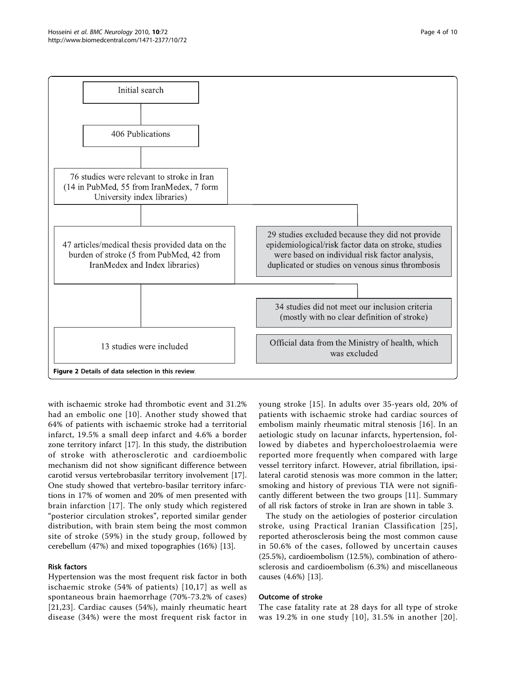<span id="page-3-0"></span>

with ischaemic stroke had thrombotic event and 31.2% had an embolic one [[10](#page-8-0)]. Another study showed that 64% of patients with ischaemic stroke had a territorial infarct, 19.5% a small deep infarct and 4.6% a border zone territory infarct [[17\]](#page-8-0). In this study, the distribution of stroke with atherosclerotic and cardioembolic mechanism did not show significant difference between carotid versus vertebrobasilar territory involvement [\[17](#page-8-0)]. One study showed that vertebro-basilar territory infarctions in 17% of women and 20% of men presented with brain infarction [[17](#page-8-0)]. The only study which registered "posterior circulation strokes", reported similar gender distribution, with brain stem being the most common site of stroke (59%) in the study group, followed by cerebellum (47%) and mixed topographies (16%) [\[13\]](#page-8-0).

## Risk factors

Hypertension was the most frequent risk factor in both ischaemic stroke (54% of patients) [[10,17\]](#page-8-0) as well as spontaneous brain haemorrhage (70%-73.2% of cases) [[21](#page-8-0),[23\]](#page-8-0). Cardiac causes (54%), mainly rheumatic heart disease (34%) were the most frequent risk factor in young stroke [\[15\]](#page-8-0). In adults over 35-years old, 20% of patients with ischaemic stroke had cardiac sources of embolism mainly rheumatic mitral stenosis [[16\]](#page-8-0). In an aetiologic study on lacunar infarcts, hypertension, followed by diabetes and hypercholoestrolaemia were reported more frequently when compared with large vessel territory infarct. However, atrial fibrillation, ipsilateral carotid stenosis was more common in the latter; smoking and history of previous TIA were not significantly different between the two groups [[11](#page-8-0)]. Summary of all risk factors of stroke in Iran are shown in table [3.](#page-5-0)

The study on the aetiologies of posterior circulation stroke, using Practical Iranian Classification [[25\]](#page-8-0), reported atherosclerosis being the most common cause in 50.6% of the cases, followed by uncertain causes (25.5%), cardioembolism (12.5%), combination of atherosclerosis and cardioembolism (6.3%) and miscellaneous causes (4.6%) [\[13](#page-8-0)].

#### Outcome of stroke

The case fatality rate at 28 days for all type of stroke was 19.2% in one study [[10\]](#page-8-0), 31.5% in another [[20\]](#page-8-0).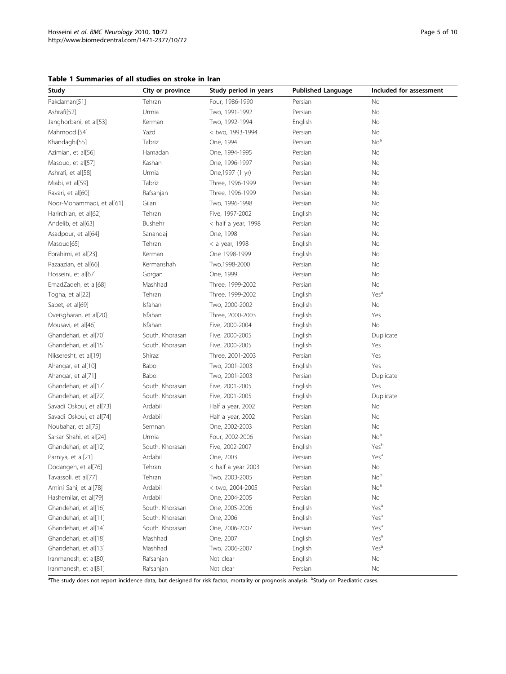<span id="page-4-0"></span>Table 1 Summaries of all studies on stroke in Iran

| Study                     | City or province |                       | <b>Published Language</b> | Included for assessment |  |  |  |
|---------------------------|------------------|-----------------------|---------------------------|-------------------------|--|--|--|
| Pakdaman[51]              | Tehran           | Four, 1986-1990       | Persian                   | No                      |  |  |  |
| Ashrafi[52]               | Urmia            | Two, 1991-1992        | Persian                   | No                      |  |  |  |
| Janghorbani, et al[53]    | Kerman           | Two, 1992-1994        | English                   | No                      |  |  |  |
| Mahmoodi[54]              | Yazd             | < two, 1993-1994      | Persian                   | No                      |  |  |  |
| Khandaghi[55]             | Tabriz           | One, 1994             | Persian                   | No <sup>a</sup>         |  |  |  |
| Azimian, et al[56]        | Hamadan          | One, 1994-1995        | Persian                   | No                      |  |  |  |
| Masoud, et al[57]         | Kashan           | One, 1996-1997        | Persian                   | No                      |  |  |  |
| Ashrafi, et al[58]        | Urmia            | One, 1997 (1 yr)      | Persian                   | No                      |  |  |  |
| Miabi, et al[59]          | Tabriz           | Three, 1996-1999      | Persian                   | No                      |  |  |  |
| Ravari, et al[60]         | Rafsanjan        | Three, 1996-1999      | Persian                   | No                      |  |  |  |
| Noor-Mohammadi, et al[61] | Gilan            | Two, 1996-1998        | Persian                   | No                      |  |  |  |
| Harirchian, et al[62]     | Tehran           | Five, 1997-2002       | English                   | No                      |  |  |  |
| Andelib, et al[63]        | Bushehr          | $<$ half a year, 1998 | Persian                   | No                      |  |  |  |
| Asadpour, et al[64]       | Sanandaj         | One, 1998             | Persian                   | No                      |  |  |  |
| Masoud[65]                | Tehran           | < a year, 1998        | English                   | No                      |  |  |  |
| Ebrahimi, et al[23]       | Kerman           | One 1998-1999         | English                   | No                      |  |  |  |
| Razaazian, et al[66]      | Kermanshah       | Two, 1998-2000        | Persian                   | No                      |  |  |  |
| Hosseini, et al[67]       | Gorgan           | One, 1999             | Persian                   | No                      |  |  |  |
| EmadZadeh, et al[68]      | Mashhad          | Three, 1999-2002      | Persian                   | No                      |  |  |  |
| Togha, et al[22]          | Tehran           | Three, 1999-2002      | English                   | Yes <sup>a</sup>        |  |  |  |
| Sabet, et al[69]          | Isfahan          | Two, 2000-2002        | English                   | No                      |  |  |  |
| Oveisgharan, et al[20]    | Isfahan          | Three, 2000-2003      | English                   | Yes                     |  |  |  |
| Mousavi, et al[46]        | Isfahan          | Five, 2000-2004       | English                   | No                      |  |  |  |
| Ghandehari, et al[70]     | South, Khorasan  | Five, 2000-2005       | English                   | Duplicate               |  |  |  |
| Ghandehari, et al[15]     | South. Khorasan  | Five, 2000-2005       | English                   | Yes                     |  |  |  |
| Nikseresht, et al[19]     | Shiraz           | Three, 2001-2003      | Persian                   | Yes                     |  |  |  |
| Ahangar, et al[10]        | Babol            | Two, 2001-2003        | English                   | Yes                     |  |  |  |
| Ahangar, et al[71]        | Babol            | Two, 2001-2003        | Persian                   | Duplicate               |  |  |  |
| Ghandehari, et al[17]     | South. Khorasan  | Five, 2001-2005       | English                   | Yes                     |  |  |  |
| Ghandehari, et al[72]     | South. Khorasan  | Five, 2001-2005       | English                   | Duplicate               |  |  |  |
| Savadi Oskoui, et al[73]  | Ardabil          | Half a year, 2002     | Persian                   | No                      |  |  |  |
| Savadi Oskoui, et al[74]  | Ardabil          | Half a year, 2002     | Persian                   | No                      |  |  |  |
| Noubahar, et al[75]       | Semnan           | One, 2002-2003        | Persian                   | No                      |  |  |  |
| Sarsar Shahi, et al[24]   | Urmia            | Four, 2002-2006       | Persian                   | No <sup>a</sup>         |  |  |  |
| Ghandehari, et al[12]     | South. Khorasan  | Five, 2002-2007       | English                   | Yesb                    |  |  |  |
| Parniya, et al[21]        | Ardabil          | One, 2003             | Persian                   | Yes <sup>a</sup>        |  |  |  |
| Dodangeh, et al[76]       | Tehran           | $<$ half a year 2003  | Persian                   | No                      |  |  |  |
| Tavassoli, et al[77]      | Tehran           | Two, 2003-2005        | Persian                   | No <sup>b</sup>         |  |  |  |
| Amini Sani, et al[78]     | Ardabil          | < two, 2004-2005      | Persian                   | No <sup>a</sup>         |  |  |  |
| Hashemilar, et al[79]     | Ardabil          | One, 2004-2005        | Persian                   | No                      |  |  |  |
| Ghandehari, et al[16]     | South. Khorasan  | One, 2005-2006        | English                   | Yes <sup>a</sup>        |  |  |  |
| Ghandehari, et al[11]     | South. Khorasan  | One, 2006             | English                   | Yes <sup>a</sup>        |  |  |  |
| Ghandehari, et al[14]     | South. Khorasan  | One, 2006-2007        | Persian                   | Yes <sup>a</sup>        |  |  |  |
| Ghandehari, et al[18]     | Mashhad          | One, 2007             | English                   | Yes <sup>a</sup>        |  |  |  |
| Ghandehari, et al[13]     | Mashhad          | Two, 2006-2007        | English                   | Yes <sup>a</sup>        |  |  |  |
| Iranmanesh, et al[80]     | Rafsanjan        | Not clear             | English                   | No                      |  |  |  |
| Iranmanesh, et al[81]     | Rafsanjan        | Not clear             | Persian                   | No                      |  |  |  |

<sup>a</sup>The study does not report incidence data, but designed for risk factor, mortality or prognosis analysis. <sup>b</sup>Study on Paediatric cases.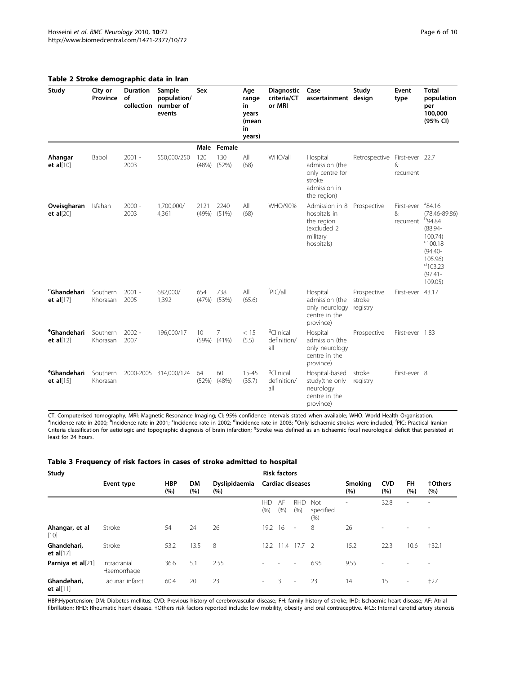| Study                                   | City or<br>Province  | <b>Duration</b><br>of | Sample<br>population/<br>collection number of<br>events | Sex           |               | Age<br>range<br>in.<br>years<br>(mean<br>in<br>years) | <b>Diagnostic</b><br>criteria/CT<br>or MRI  | Case<br>ascertainment design                                                           | Study                             | Event<br>type                | <b>Total</b><br>population<br>per<br>100,000<br>(95% CI)                                                                                               |
|-----------------------------------------|----------------------|-----------------------|---------------------------------------------------------|---------------|---------------|-------------------------------------------------------|---------------------------------------------|----------------------------------------------------------------------------------------|-----------------------------------|------------------------------|--------------------------------------------------------------------------------------------------------------------------------------------------------|
|                                         |                      |                       |                                                         | Male          | Female        |                                                       |                                             |                                                                                        |                                   |                              |                                                                                                                                                        |
| Ahangar<br>et al $[10]$                 | Babol                | $2001 -$<br>2003      | 550,000/250                                             | 120<br>(48%)  | 130<br>(52%)  | All<br>(68)                                           | WHO/all                                     | Hospital<br>admission (the<br>only centre for<br>stroke<br>admission in<br>the region) | Retrospective First-ever 22.7     | &<br>recurrent               |                                                                                                                                                        |
| Oveisgharan<br>et al $[20]$             | Isfahan              | $2000 -$<br>2003      | 1,700,000/<br>4,361                                     | 2121<br>(49%) | 2240<br>(51%) | All<br>(68)                                           | WHO/90%                                     | Admission in 8<br>hospitals in<br>the region<br>(excluded 2<br>military<br>hospitals)  | Prospective                       | First-ever<br>&<br>recurrent | 84.16<br>$(78.46 - 89.86)$<br><sup>b</sup> 94.84<br>$(88.94 -$<br>100.74<br>$C$ 100.18<br>$(94.40 -$<br>105.96)<br>$d$ 103.23<br>$(97.41 -$<br>109.05) |
| <sup>e</sup> Ghandehari<br>et al $[17]$ | Southern<br>Khorasan | $2001 -$<br>2005      | 682,000/<br>1,392                                       | 654<br>(47%)  | 738<br>(53%)  | All<br>(65.6)                                         | <sup>f</sup> PIC/all                        | Hospital<br>admission (the<br>only neurology<br>centre in the<br>province)             | Prospective<br>stroke<br>registry | First-ever                   | 43.17                                                                                                                                                  |
| <sup>e</sup> Ghandehari<br>et al $[12]$ | Southern<br>Khorasan | $2002 -$<br>2007      | 196,000/17                                              | 10<br>(59%)   | 7<br>(41%)    | < 15<br>(5.5)                                         | <sup>9</sup> Clinical<br>definition/<br>all | Hospital<br>admission (the<br>only neurology<br>centre in the<br>province)             | Prospective                       | First-ever 1.83              |                                                                                                                                                        |
| <sup>e</sup> Ghandehari<br>et al $[15]$ | Southern<br>Khorasan |                       | 2000-2005 314,000/124                                   | 64<br>(52%)   | 60<br>(48%)   | $15 - 45$<br>(35.7)                                   | <sup>9</sup> Clinical<br>definition/<br>all | Hospital-based<br>study(the only<br>neurology<br>centre in the<br>province)            | stroke<br>registry                | First-ever 8                 |                                                                                                                                                        |

#### <span id="page-5-0"></span>Table 2 Stroke demographic data in Iran

CT: Computerised tomography; MRI: Magnetic Resonance Imaging; CI: 95% confidence intervals stated when available; WHO: World Health Organisation.<br><sup>a</sup>Incidence rate in 2000; <sup>b</sup>Incidence rate in 2001; <sup>c</sup>Incidence rate in 2 least for 24 hours.

#### Table 3 Frequency of risk factors in cases of stroke admitted to hospital

| Study                       |                             |                   |                  | <b>Risk factors</b>  |                    |            |                          |                          |                   |            |                          |                          |
|-----------------------------|-----------------------------|-------------------|------------------|----------------------|--------------------|------------|--------------------------|--------------------------|-------------------|------------|--------------------------|--------------------------|
|                             | Event type                  | <b>HBP</b><br>(%) | <b>DM</b><br>(%) | Dyslipidaemia<br>(%) | Cardiac diseases   |            |                          | Smoking<br>(%)           | <b>CVD</b><br>(%) | FH.<br>(%) | <b>+Others</b><br>(%)    |                          |
|                             |                             |                   |                  |                      | <b>IHD</b><br>(% ) | AF<br>(% ) | <b>RHD</b><br>(% )       | Not<br>specified<br>(% ) | ٠                 | 32.8       | $\overline{\phantom{a}}$ | $\overline{\phantom{a}}$ |
| Ahangar, et al<br>$[10]$    | Stroke                      | 54                | 24               | 26                   | 19.2 <sup>°</sup>  | 16         | $\overline{\phantom{a}}$ | 8                        | 26                |            |                          | $\overline{\phantom{a}}$ |
| Ghandehari,<br>et al $[17]$ | Stroke                      | 53.2              | 13.5             | 8                    | 12.2               | 11.4       | $7.7-2$                  |                          | 15.2              | 22.3       | 10.6                     | $+32.1$                  |
| Parniya et al[21]           | Intracranial<br>Haemorrhage | 36.6              | 5.1              | 2.55                 |                    |            |                          | 6.95                     | 9.55              |            |                          | $\overline{\phantom{a}}$ |
| Ghandehari,<br>et al $[11]$ | Lacunar infarct             | 60.4              | 20               | 23                   | $\sim$             | 3          | $\overline{\phantom{a}}$ | 23                       | 14                | 15         | $\overline{\phantom{a}}$ | ±27                      |

HBP:Hypertension; DM: Diabetes mellitus; CVD: Previous history of cerebrovascular disease; FH: family history of stroke; IHD: Ischaemic heart disease; AF: Atrial fibrillation; RHD: Rheumatic heart disease. †Others risk factors reported include: low mobility, obesity and oral contraceptive. ‡ICS: Internal carotid artery stenosis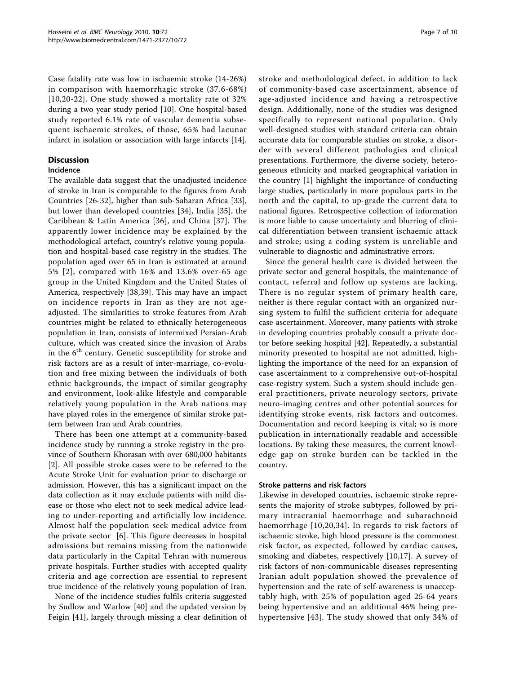Case fatality rate was low in ischaemic stroke (14-26%) in comparison with haemorrhagic stroke (37.6-68%) [[10](#page-8-0),[20](#page-8-0)-[22](#page-8-0)]. One study showed a mortality rate of 32% during a two year study period [[10\]](#page-8-0). One hospital-based study reported 6.1% rate of vascular dementia subsequent ischaemic strokes, of those, 65% had lacunar infarct in isolation or association with large infarcts [\[14](#page-8-0)].

## **Discussion**

#### Incidence

The available data suggest that the unadjusted incidence of stroke in Iran is comparable to the figures from Arab Countries [\[26](#page-8-0)-[32\]](#page-8-0), higher than sub-Saharan Africa [\[33](#page-8-0)], but lower than developed countries [\[34](#page-8-0)], India [[35\]](#page-8-0), the Caribbean & Latin America [\[36\]](#page-8-0), and China [\[37\]](#page-8-0). The apparently lower incidence may be explained by the methodological artefact, country's relative young population and hospital-based case registry in the studies. The population aged over 65 in Iran is estimated at around 5% [[2](#page-8-0)], compared with 16% and 13.6% over-65 age group in the United Kingdom and the United States of America, respectively [[38,39\]](#page-8-0). This may have an impact on incidence reports in Iran as they are not ageadjusted. The similarities to stroke features from Arab countries might be related to ethnically heterogeneous population in Iran, consists of intermixed Persian-Arab culture, which was created since the invasion of Arabs in the 6<sup>th</sup> century. Genetic susceptibility for stroke and risk factors are as a result of inter-marriage, co-evolution and free mixing between the individuals of both ethnic backgrounds, the impact of similar geography and environment, look-alike lifestyle and comparable relatively young population in the Arab nations may have played roles in the emergence of similar stroke pattern between Iran and Arab countries.

There has been one attempt at a community-based incidence study by running a stroke registry in the province of Southern Khorasan with over 680,000 habitants [[2](#page-8-0)]. All possible stroke cases were to be referred to the Acute Stroke Unit for evaluation prior to discharge or admission. However, this has a significant impact on the data collection as it may exclude patients with mild disease or those who elect not to seek medical advice leading to under-reporting and artificially low incidence. Almost half the population seek medical advice from the private sector [\[6](#page-8-0)]. This figure decreases in hospital admissions but remains missing from the nationwide data particularly in the Capital Tehran with numerous private hospitals. Further studies with accepted quality criteria and age correction are essential to represent true incidence of the relatively young population of Iran.

None of the incidence studies fulfils criteria suggested by Sudlow and Warlow [[40](#page-8-0)] and the updated version by Feigin [\[41](#page-8-0)], largely through missing a clear definition of stroke and methodological defect, in addition to lack of community-based case ascertainment, absence of age-adjusted incidence and having a retrospective design. Additionally, none of the studies was designed specifically to represent national population. Only well-designed studies with standard criteria can obtain accurate data for comparable studies on stroke, a disorder with several different pathologies and clinical presentations. Furthermore, the diverse society, heterogeneous ethnicity and marked geographical variation in the country [\[1](#page-8-0)] highlight the importance of conducting large studies, particularly in more populous parts in the north and the capital, to up-grade the current data to national figures. Retrospective collection of information is more liable to cause uncertainty and blurring of clinical differentiation between transient ischaemic attack and stroke; using a coding system is unreliable and vulnerable to diagnostic and administrative errors.

Since the general health care is divided between the private sector and general hospitals, the maintenance of contact, referral and follow up systems are lacking. There is no regular system of primary health care, neither is there regular contact with an organized nursing system to fulfil the sufficient criteria for adequate case ascertainment. Moreover, many patients with stroke in developing countries probably consult a private doctor before seeking hospital [\[42\]](#page-8-0). Repeatedly, a substantial minority presented to hospital are not admitted, highlighting the importance of the need for an expansion of case ascertainment to a comprehensive out-of-hospital case-registry system. Such a system should include general practitioners, private neurology sectors, private neuro-imaging centres and other potential sources for identifying stroke events, risk factors and outcomes. Documentation and record keeping is vital; so is more publication in internationally readable and accessible locations. By taking these measures, the current knowledge gap on stroke burden can be tackled in the country.

#### Stroke patterns and risk factors

Likewise in developed countries, ischaemic stroke represents the majority of stroke subtypes, followed by primary intracranial haemorrhage and subarachnoid haemorrhage [[10,20,34\]](#page-8-0). In regards to risk factors of ischaemic stroke, high blood pressure is the commonest risk factor, as expected, followed by cardiac causes, smoking and diabetes, respectively [\[10](#page-8-0),[17\]](#page-8-0). A survey of risk factors of non-communicable diseases representing Iranian adult population showed the prevalence of hypertension and the rate of self-awareness is unacceptably high, with 25% of population aged 25-64 years being hypertensive and an additional 46% being prehypertensive [\[43\]](#page-8-0). The study showed that only 34% of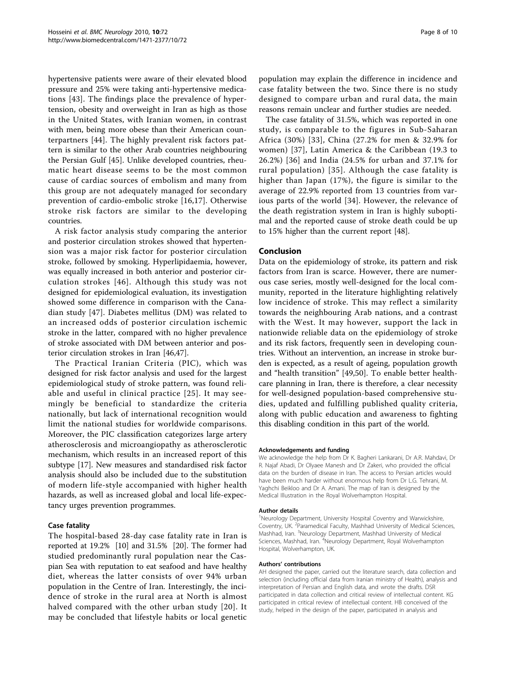hypertensive patients were aware of their elevated blood pressure and 25% were taking anti-hypertensive medications [\[43](#page-8-0)]. The findings place the prevalence of hypertension, obesity and overweight in Iran as high as those in the United States, with Iranian women, in contrast with men, being more obese than their American counterpartners [\[44\]](#page-8-0). The highly prevalent risk factors pattern is similar to the other Arab countries neighbouring the Persian Gulf [[45\]](#page-8-0). Unlike developed countries, rheumatic heart disease seems to be the most common cause of cardiac sources of embolism and many from this group are not adequately managed for secondary prevention of cardio-embolic stroke [\[16](#page-8-0),[17\]](#page-8-0). Otherwise stroke risk factors are similar to the developing countries.

A risk factor analysis study comparing the anterior and posterior circulation strokes showed that hypertension was a major risk factor for posterior circulation stroke, followed by smoking. Hyperlipidaemia, however, was equally increased in both anterior and posterior circulation strokes [[46](#page-8-0)]. Although this study was not designed for epidemiological evaluation, its investigation showed some difference in comparison with the Canadian study [[47](#page-8-0)]. Diabetes mellitus (DM) was related to an increased odds of posterior circulation ischemic stroke in the latter, compared with no higher prevalence of stroke associated with DM between anterior and posterior circulation strokes in Iran [\[46,47\]](#page-8-0).

The Practical Iranian Criteria (PIC), which was designed for risk factor analysis and used for the largest epidemiological study of stroke pattern, was found reliable and useful in clinical practice [[25](#page-8-0)]. It may seemingly be beneficial to standardize the criteria nationally, but lack of international recognition would limit the national studies for worldwide comparisons. Moreover, the PIC classification categorizes large artery atherosclerosis and microangiopathy as atherosclerotic mechanism, which results in an increased report of this subtype [[17](#page-8-0)]. New measures and standardised risk factor analysis should also be included due to the substitution of modern life-style accompanied with higher health hazards, as well as increased global and local life-expectancy urges prevention programmes.

#### Case fatality

The hospital-based 28-day case fatality rate in Iran is reported at 19.2% [[10\]](#page-8-0) and 31.5% [[20\]](#page-8-0). The former had studied predominantly rural population near the Caspian Sea with reputation to eat seafood and have healthy diet, whereas the latter consists of over 94% urban population in the Centre of Iran. Interestingly, the incidence of stroke in the rural area at North is almost halved compared with the other urban study [[20](#page-8-0)]. It may be concluded that lifestyle habits or local genetic

population may explain the difference in incidence and case fatality between the two. Since there is no study designed to compare urban and rural data, the main reasons remain unclear and further studies are needed.

The case fatality of 31.5%, which was reported in one study, is comparable to the figures in Sub-Saharan Africa (30%) [\[33\]](#page-8-0), China (27.2% for men & 32.9% for women) [[37](#page-8-0)], Latin America & the Caribbean (19.3 to 26.2%) [[36](#page-8-0)] and India (24.5% for urban and 37.1% for rural population) [[35\]](#page-8-0). Although the case fatality is higher than Japan (17%), the figure is similar to the average of 22.9% reported from 13 countries from various parts of the world [[34\]](#page-8-0). However, the relevance of the death registration system in Iran is highly suboptimal and the reported cause of stroke death could be up to 15% higher than the current report [\[48](#page-9-0)].

#### Conclusion

Data on the epidemiology of stroke, its pattern and risk factors from Iran is scarce. However, there are numerous case series, mostly well-designed for the local community, reported in the literature highlighting relatively low incidence of stroke. This may reflect a similarity towards the neighbouring Arab nations, and a contrast with the West. It may however, support the lack in nationwide reliable data on the epidemiology of stroke and its risk factors, frequently seen in developing countries. Without an intervention, an increase in stroke burden is expected, as a result of ageing, population growth and "health transition" [[49,50\]](#page-9-0). To enable better healthcare planning in Iran, there is therefore, a clear necessity for well-designed population-based comprehensive studies, updated and fulfilling published quality criteria, along with public education and awareness to fighting this disabling condition in this part of the world.

#### Acknowledgements and funding

We acknowledge the help from Dr K. Bagheri Lankarani, Dr A.R. Mahdavi, Dr R. Najaf Abadi, Dr Olyaee Manesh and Dr Zakeri, who provided the official data on the burden of disease in Iran. The access to Persian articles would have been much harder without enormous help from Dr L.G. Tehrani, M. Yaghchi Beikloo and Dr A. Amani. The map of Iran is designed by the Medical Illustration in the Royal Wolverhampton Hospital.

#### Author details

<sup>1</sup>Neurology Department, University Hospital Coventry and Warwickshire, Coventry, UK. <sup>2</sup>Paramedical Faculty, Mashhad University of Medical Sciences, Mashhad, Iran. <sup>3</sup>Neurology Department, Mashhad University of Medical Sciences, Mashhad, Iran. <sup>4</sup>Neurology Department, Royal Wolverhampton Hospital, Wolverhampton, UK.

#### Authors' contributions

AH designed the paper, carried out the literature search, data collection and selection (including official data from Iranian ministry of Health), analysis and interpretation of Persian and English data, and wrote the drafts. DSR participated in data collection and critical review of intellectual content. KG participated in critical review of intellectual content. HB conceived of the study, helped in the design of the paper, participated in analysis and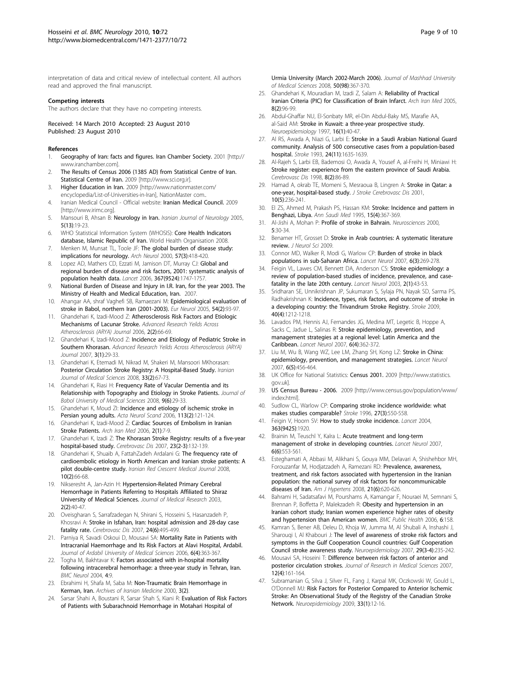<span id="page-8-0"></span>interpretation of data and critical review of intellectual content. All authors read and approved the final manuscript.

#### Competing interests

The authors declare that they have no competing interests.

Received: 14 March 2010 Accepted: 23 August 2010 Published: 23 August 2010

#### References

- 1. Geography of Iran: facts and figures. Iran Chamber Society. 2001 [[http://](http://www.iranchamber.com) [www.iranchamber.com\]](http://www.iranchamber.com).
- 2. The Results of Census 2006 (1385 AD) from Statistical Centre of Iran. Statistical Centre of Iran. 2009 [\[http://www.sci.org.ir](http://www.sci.org.ir)].
- 3. Higher Education in Iran. 2009 [[http://www.nationmaster.com/](http://www.nationmaster.com/encyclopedia/List-of-Universities-in-Iran) [encyclopedia/List-of-Universities-in-Iran\]](http://www.nationmaster.com/encyclopedia/List-of-Universities-in-Iran), NationMaster com..
- 4. Iranian Medical Council Official website: Iranian Medical Council. 2009 [\[http://www.irimc.org\]](http://www.irimc.org).
- 5. Mansouri B, Ahsan B: Neurology in Iran. Iranian Journal of Neurology 2005, 5(13):19-23.
- 6. WHO Statistical Information System (WHOSIS): Core Health Indicators database, Islamic Republic of Iran. World Health Organisation 2008.
- 7. Menken M, Munsat TL, Toole JF: [The global burden of disease study:](http://www.ncbi.nlm.nih.gov/pubmed/10714674?dopt=Abstract) [implications for neurology.](http://www.ncbi.nlm.nih.gov/pubmed/10714674?dopt=Abstract) Arch Neurol 2000, 57(3):418-420.
- 8. Lopez AD, Mathers CD, Ezzati M, Jamison DT, Murray CJ: [Global and](http://www.ncbi.nlm.nih.gov/pubmed/16731270?dopt=Abstract) [regional burden of disease and risk factors, 2001: systematic analysis of](http://www.ncbi.nlm.nih.gov/pubmed/16731270?dopt=Abstract) [population health data.](http://www.ncbi.nlm.nih.gov/pubmed/16731270?dopt=Abstract) Lancet 2006, 367(9524):1747-1757.
- 9. National Burden of Disease and Injury in I.R. Iran, for the year 2003. The Ministry of Health and Medical Education, Iran. 2007.
- 10. Ahangar AA, shraf Vaghefi SB, Ramaezani M: [Epidemiological evaluation of](http://www.ncbi.nlm.nih.gov/pubmed/16195668?dopt=Abstract) [stroke in Babol, northern Iran \(2001-2003\).](http://www.ncbi.nlm.nih.gov/pubmed/16195668?dopt=Abstract) Eur Neurol 2005, 54(2):93-97.
- 11. Ghandehari K, Izadi-Mood Z: Atherosclerosis Risk Factors and Etiologic Mechanisms of Lacunar Stroke. Advanced Research Yeilds Across Atherosclerosis (ARYA) Journal 2006, 2(2):66-69.
- 12. Ghandehari K, Izadi-Mood Z: Incidence and Etiology of Pediatric Stroke in Southern Khorasan. Advanced Research Yeilds Across Atherosclerosis (ARYA) Journal 2007, 3(1):29-33.
- 13. Ghandehari K, Etemadi M, Nikrad M, Shakeri M, Mansoori MKhorasan: Posterior Circulation Stroke Registry: A Hospital-Based Study. Iranian Journal of Medical Sciences 2008, 33(2):67-73.
- 14. Ghandehari K, Riasi H: Frequency Rate of Vacular Dementia and its Relationship with Topography and Etiology in Stroke Patients. Journal of Babol University of Medical Sciences 2008, 9(6):29-33.
- 15. Ghandehari K, Moud ZI: [Incidence and etiology of ischemic stroke in](http://www.ncbi.nlm.nih.gov/pubmed/16411973?dopt=Abstract) [Persian young adults.](http://www.ncbi.nlm.nih.gov/pubmed/16411973?dopt=Abstract) Acta Neurol Scand 2006, 113(2):121-124.
- 16. Ghandehari K, Izadi-Mood Z: Cardiac Sources of Embolism in Iranian Stroke Patients. Arch Iran Med 2006, 2(1):7-9.
- 17. Ghandehari K, Izadi Z: [The Khorasan Stroke Registry: results of a five-year](http://www.ncbi.nlm.nih.gov/pubmed/17124394?dopt=Abstract) [hospital-based study.](http://www.ncbi.nlm.nih.gov/pubmed/17124394?dopt=Abstract) Cerebrovasc Dis 2007, 23(2-3):132-139.
- 18. Ghandehari K, Shuaib A, FattahZadeh Ardalani G: The frequency rate of cardioembolic etiology in North American and Iranian stroke patients: A pilot double-centre study. Iranian Red Crescent Medical Journal 2008, 10(2):66-68.
- 19. Nikseresht A, Jan-Azin H: Hypertension-Related Primary Cerebral Hemorrhage in Patients Referring to Hospitals Affiliated to Shiraz University of Medical Sciences. Journal of Medical Research 2003, 2(2):40-47.
- 20. Oveisgharan S, Sarrafzadegan N, Shirani S, Hosseini S, Hasanzadeh P, Khosravi A: [Stroke in Isfahan, Iran: hospital admission and 28-day case](http://www.ncbi.nlm.nih.gov/pubmed/17971627?dopt=Abstract) [fatality rate.](http://www.ncbi.nlm.nih.gov/pubmed/17971627?dopt=Abstract) Cerebrovasc Dis 2007, 24(6):495-499.
- 21. Parniya R, Savadi Oskoui D, Mousavi SA: Mortality Rate in Patients with Intracranial Haemorrhage and Its Risk Factors at Alavi Hospital, Ardabil. Journal of Ardabil University of Medical Sciences 2006, 6(4):363-367
- 22. Togha M, Bakhtavar K: [Factors associated with in-hospital mortality](http://www.ncbi.nlm.nih.gov/pubmed/15193159?dopt=Abstract) [following intracerebral hemorrhage: a three-year study in Tehran, Iran.](http://www.ncbi.nlm.nih.gov/pubmed/15193159?dopt=Abstract) BMC Neurol 2004, 4:9.
- 23. Ebrahimi H, Shafa M, Saba M: Non-Traumatic Brain Hemorrhage in Kerman, Iran. Archives of Iranian Medicine 2000, 3(2).
- 24. Sarsar Shahi A, Boustani R, Sarsar Shah S, Kiani R: Evaluation of Risk Factors of Patients with Subarachnoid Hemorrhage in Motahari Hospital of

Urmia University (March 2002-March 2006). Journal of Mashhad University of Medical Sciences 2008, 50(98):367-370.

- 25. Ghandehari K, Mouradian M, Izadi Z, Salam A: Reliability of Practical Iranian Criteria (PIC) for Classification of Brain Infarct. Arch Iran Med 2005, 8(2):96-99.
- 26. Abdul-Ghaffar NU, El-Sonbaty MR, el-Din Abdul-Baky MS, Marafie AA, al-Said AM: [Stroke in Kuwait: a three-year prospective study.](http://www.ncbi.nlm.nih.gov/pubmed/8994939?dopt=Abstract) Neuroepidemiology 1997, 16(1):40-47.
- 27. Al RS, Awada A, Niazi G, Larbi E: [Stroke in a Saudi Arabian National Guard](http://www.ncbi.nlm.nih.gov/pubmed/8236335?dopt=Abstract) [community. Analysis of 500 consecutive cases from a population-based](http://www.ncbi.nlm.nih.gov/pubmed/8236335?dopt=Abstract) [hospital.](http://www.ncbi.nlm.nih.gov/pubmed/8236335?dopt=Abstract) Stroke 1993, 24(11):1635-1639.
- 28. Al-Rajeh S, Larbi EB, Bademosi O, Awada A, Yousef A, al-Freihi H, Miniawi H: [Stroke register: experience from the eastern province of Saudi Arabia.](http://www.ncbi.nlm.nih.gov/pubmed/9548005?dopt=Abstract) Cerebrovasc Dis 1998, 8(2):86-89.
- 29. Hamad A, okrab TE, Momeni S, Mesraoua B, Lingren A: [Stroke in Qatar: a](http://www.ncbi.nlm.nih.gov/pubmed/17903831?dopt=Abstract) [one-year, hospital-based study.](http://www.ncbi.nlm.nih.gov/pubmed/17903831?dopt=Abstract) J Stroke Cerebrovasc Dis 2001, 10(5):236-241.
- 30. El ZS, Ahmed M, Prakash PS, Hassan KM: [Stroke: Incidence and pattern in](http://www.ncbi.nlm.nih.gov/pubmed/17590609?dopt=Abstract) [Benghazi, Libya.](http://www.ncbi.nlm.nih.gov/pubmed/17590609?dopt=Abstract) Ann Saudi Med 1995, 15(4):367-369.
- 31. Al-Jishi A, Mohan P: Profile of stroke in Bahrain. Neurosciences 2000, 5:30-34.
- 32. Benamer HT, Grosset D: Stroke in Arab countries: A systematic literature review. J Neurol Sci 2009.
- 33. Connor MD, Walker R, Modi G, Warlow CP: [Burden of stroke in black](http://www.ncbi.nlm.nih.gov/pubmed/17303533?dopt=Abstract) [populations in sub-Saharan Africa.](http://www.ncbi.nlm.nih.gov/pubmed/17303533?dopt=Abstract) Lancet Neurol 2007, 6(3):269-278.
- 34. Feigin VL, Lawes CM, Bennett DA, Anderson CS: [Stroke epidemiology: a](http://www.ncbi.nlm.nih.gov/pubmed/12849300?dopt=Abstract) [review of population-based studies of incidence, prevalence, and case](http://www.ncbi.nlm.nih.gov/pubmed/12849300?dopt=Abstract)[fatality in the late 20th century.](http://www.ncbi.nlm.nih.gov/pubmed/12849300?dopt=Abstract) Lancet Neurol 2003, 2(1):43-53.
- 35. Sridharan SE, Unnikrishnan JP, Sukumaran S, Sylaja PN, Nayak SD, Sarma PS, Radhakrishnan K: [Incidence, types, risk factors, and outcome of stroke in](http://www.ncbi.nlm.nih.gov/pubmed/19228849?dopt=Abstract) [a developing country: the Trivandrum Stroke Registry.](http://www.ncbi.nlm.nih.gov/pubmed/19228849?dopt=Abstract) Stroke 2009, 40(4):1212-1218.
- 36. Lavados PM, Hennis AJ, Fernandes JG, Medina MT, Legetic B, Hoppe A, Sacks C, Jadue L, Salinas R: [Stroke epidemiology, prevention, and](http://www.ncbi.nlm.nih.gov/pubmed/17362840?dopt=Abstract) [management strategies at a regional level: Latin America and the](http://www.ncbi.nlm.nih.gov/pubmed/17362840?dopt=Abstract) [Caribbean.](http://www.ncbi.nlm.nih.gov/pubmed/17362840?dopt=Abstract) Lancet Neurol 2007, 6(4):362-372.
- 37. Liu M, Wu B, Wang WZ, Lee LM, Zhang SH, Kong LZ: [Stroke in China:](http://www.ncbi.nlm.nih.gov/pubmed/17434100?dopt=Abstract) [epidemiology, prevention, and management strategies.](http://www.ncbi.nlm.nih.gov/pubmed/17434100?dopt=Abstract) Lancet Neurol 2007, 6(5):456-464.
- 38. UK Office for National Statistics: Census 2001. 2009 [[http://www.statistics.](http://www.statistics.gov.uk) [gov.uk](http://www.statistics.gov.uk)].
- 39. US Census Bureau 2006. 2009 [\[http://www.census.gov/population/www/](http://www.census.gov/population/www/index.html) [index.html\]](http://www.census.gov/population/www/index.html).
- 40. Sudlow CL, Warlow CP: [Comparing stroke incidence worldwide: what](http://www.ncbi.nlm.nih.gov/pubmed/8610328?dopt=Abstract) [makes studies comparable?](http://www.ncbi.nlm.nih.gov/pubmed/8610328?dopt=Abstract) Stroke 1996, 27(3):550-558.
- 41. Feigin V, Hoorn SV: [How to study stroke incidence.](http://www.ncbi.nlm.nih.gov/pubmed/15194247?dopt=Abstract) Lancet 2004, 363(9425):1920.
- 42. Brainin M, Teuschl Y, Kalra L: [Acute treatment and long-term](http://www.ncbi.nlm.nih.gov/pubmed/17509490?dopt=Abstract) [management of stroke in developing countries.](http://www.ncbi.nlm.nih.gov/pubmed/17509490?dopt=Abstract) Lancet Neurol 2007, 6(6):553-561.
- 43. Esteghamati A, Abbasi M, Alikhani S, Gouya MM, Delavari A, Shishehbor MH, Forouzanfar M, Hodjatzadeh A, Ramezani RD: [Prevalence, awareness,](http://www.ncbi.nlm.nih.gov/pubmed/18451810?dopt=Abstract) [treatment, and risk factors associated with hypertension in the Iranian](http://www.ncbi.nlm.nih.gov/pubmed/18451810?dopt=Abstract) [population: the national survey of risk factors for noncommunicable](http://www.ncbi.nlm.nih.gov/pubmed/18451810?dopt=Abstract) [diseases of Iran.](http://www.ncbi.nlm.nih.gov/pubmed/18451810?dopt=Abstract) Am J Hypertens 2008, 21(6):620-626.
- 44. Bahrami H, Sadatsafavi M, Pourshams A, Kamangar F, Nouraei M, Semnani S, Brennan P, Boffetta P, Malekzadeh R: [Obesity and hypertension in an](http://www.ncbi.nlm.nih.gov/pubmed/16784543?dopt=Abstract) [Iranian cohort study; Iranian women experience higher rates of obesity](http://www.ncbi.nlm.nih.gov/pubmed/16784543?dopt=Abstract) [and hypertension than American women.](http://www.ncbi.nlm.nih.gov/pubmed/16784543?dopt=Abstract) BMC Public Health 2006, 6:158.
- 45. Kamran S, Bener AB, Deleu D, Khoja W, Jumma M, Al Shubali A, Inshashi J, Sharouqi I, Al Khabouri J: [The level of awareness of stroke risk factors and](http://www.ncbi.nlm.nih.gov/pubmed/18176080?dopt=Abstract) [symptoms in the Gulf Cooperation Council countries: Gulf Cooperation](http://www.ncbi.nlm.nih.gov/pubmed/18176080?dopt=Abstract) [Council stroke awareness study.](http://www.ncbi.nlm.nih.gov/pubmed/18176080?dopt=Abstract) Neuroepidemiology 2007, 29(3-4):235-242.
- 46. Mousavi SA, Hoseini T: Difference between risk factors of anterior and posterior circulation strokes. Journal of Research in Medical Sciences 2007, 12(4):161-164.
- 47. Subramanian G, Silva J, Silver FL, Fang J, Karpal MK, Oczkowski W, Gould L, O'Donnell MJ: [Risk Factors for Posterior Compared to Anterior Ischemic](http://www.ncbi.nlm.nih.gov/pubmed/19299902?dopt=Abstract) [Stroke: An Observational Study of the Registry of the Canadian Stroke](http://www.ncbi.nlm.nih.gov/pubmed/19299902?dopt=Abstract) [Network.](http://www.ncbi.nlm.nih.gov/pubmed/19299902?dopt=Abstract) Neuroepidemiology 2009, 33(1):12-16.